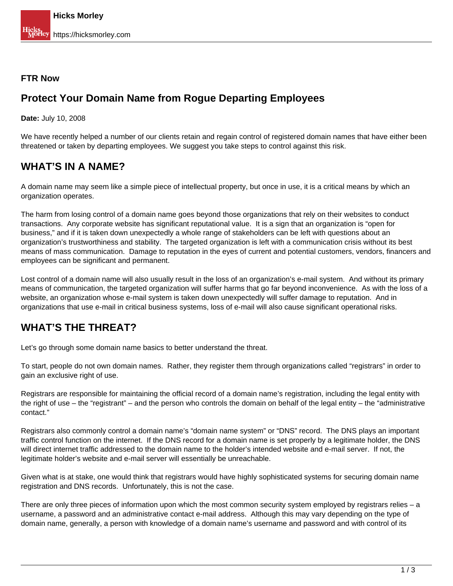#### **FTR Now**

#### **Protect Your Domain Name from Rogue Departing Employees**

**Date:** July 10, 2008

We have recently helped a number of our clients retain and regain control of registered domain names that have either been threatened or taken by departing employees. We suggest you take steps to control against this risk.

#### **WHAT'S IN A NAME?**

A domain name may seem like a simple piece of intellectual property, but once in use, it is a critical means by which an organization operates.

The harm from losing control of a domain name goes beyond those organizations that rely on their websites to conduct transactions. Any corporate website has significant reputational value. It is a sign that an organization is "open for business," and if it is taken down unexpectedly a whole range of stakeholders can be left with questions about an organization's trustworthiness and stability. The targeted organization is left with a communication crisis without its best means of mass communication. Damage to reputation in the eyes of current and potential customers, vendors, financers and employees can be significant and permanent.

Lost control of a domain name will also usually result in the loss of an organization's e-mail system. And without its primary means of communication, the targeted organization will suffer harms that go far beyond inconvenience. As with the loss of a website, an organization whose e-mail system is taken down unexpectedly will suffer damage to reputation. And in organizations that use e-mail in critical business systems, loss of e-mail will also cause significant operational risks.

### **WHAT'S THE THREAT?**

Let's go through some domain name basics to better understand the threat.

To start, people do not own domain names. Rather, they register them through organizations called "registrars" in order to gain an exclusive right of use.

Registrars are responsible for maintaining the official record of a domain name's registration, including the legal entity with the right of use – the "registrant" – and the person who controls the domain on behalf of the legal entity – the "administrative contact."

Registrars also commonly control a domain name's "domain name system" or "DNS" record. The DNS plays an important traffic control function on the internet. If the DNS record for a domain name is set properly by a legitimate holder, the DNS will direct internet traffic addressed to the domain name to the holder's intended website and e-mail server. If not, the legitimate holder's website and e-mail server will essentially be unreachable.

Given what is at stake, one would think that registrars would have highly sophisticated systems for securing domain name registration and DNS records. Unfortunately, this is not the case.

There are only three pieces of information upon which the most common security system employed by registrars relies – a username, a password and an administrative contact e-mail address. Although this may vary depending on the type of domain name, generally, a person with knowledge of a domain name's username and password and with control of its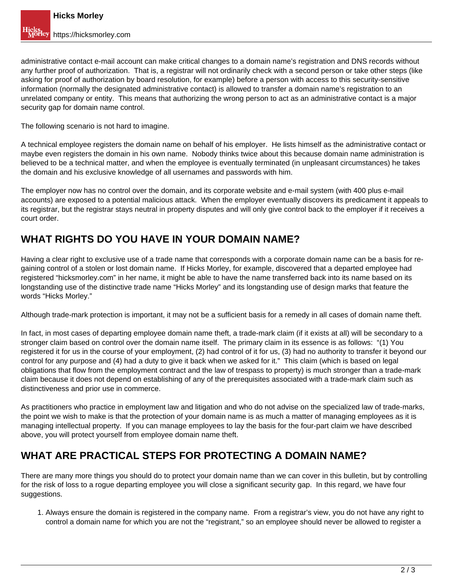administrative contact e-mail account can make critical changes to a domain name's registration and DNS records without any further proof of authorization. That is, a registrar will not ordinarily check with a second person or take other steps (like asking for proof of authorization by board resolution, for example) before a person with access to this security-sensitive information (normally the designated administrative contact) is allowed to transfer a domain name's registration to an unrelated company or entity. This means that authorizing the wrong person to act as an administrative contact is a major security gap for domain name control.

The following scenario is not hard to imagine.

A technical employee registers the domain name on behalf of his employer. He lists himself as the administrative contact or maybe even registers the domain in his own name. Nobody thinks twice about this because domain name administration is believed to be a technical matter, and when the employee is eventually terminated (in unpleasant circumstances) he takes the domain and his exclusive knowledge of all usernames and passwords with him.

The employer now has no control over the domain, and its corporate website and e-mail system (with 400 plus e-mail accounts) are exposed to a potential malicious attack. When the employer eventually discovers its predicament it appeals to its registrar, but the registrar stays neutral in property disputes and will only give control back to the employer if it receives a court order.

### **WHAT RIGHTS DO YOU HAVE IN YOUR DOMAIN NAME?**

Having a clear right to exclusive use of a trade name that corresponds with a corporate domain name can be a basis for regaining control of a stolen or lost domain name. If Hicks Morley, for example, discovered that a departed employee had registered "hicksmorley.com" in her name, it might be able to have the name transferred back into its name based on its longstanding use of the distinctive trade name "Hicks Morley" and its longstanding use of design marks that feature the words "Hicks Morley."

Although trade-mark protection is important, it may not be a sufficient basis for a remedy in all cases of domain name theft.

In fact, in most cases of departing employee domain name theft, a trade-mark claim (if it exists at all) will be secondary to a stronger claim based on control over the domain name itself. The primary claim in its essence is as follows: "(1) You registered it for us in the course of your employment, (2) had control of it for us, (3) had no authority to transfer it beyond our control for any purpose and (4) had a duty to give it back when we asked for it." This claim (which is based on legal obligations that flow from the employment contract and the law of trespass to property) is much stronger than a trade-mark claim because it does not depend on establishing of any of the prerequisites associated with a trade-mark claim such as distinctiveness and prior use in commerce.

As practitioners who practice in employment law and litigation and who do not advise on the specialized law of trade-marks, the point we wish to make is that the protection of your domain name is as much a matter of managing employees as it is managing intellectual property. If you can manage employees to lay the basis for the four-part claim we have described above, you will protect yourself from employee domain name theft.

### **WHAT ARE PRACTICAL STEPS FOR PROTECTING A DOMAIN NAME?**

There are many more things you should do to protect your domain name than we can cover in this bulletin, but by controlling for the risk of loss to a rogue departing employee you will close a significant security gap. In this regard, we have four suggestions.

1. Always ensure the domain is registered in the company name. From a registrar's view, you do not have any right to control a domain name for which you are not the "registrant," so an employee should never be allowed to register a